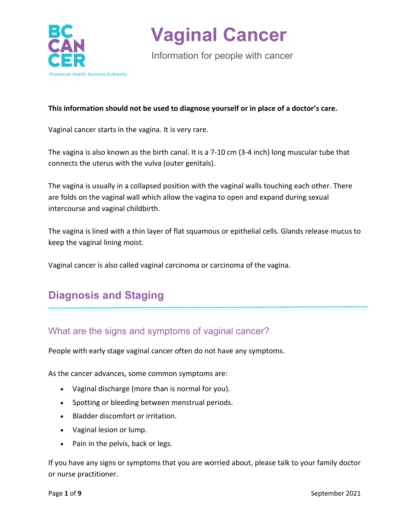

Information for people with cancer

#### **This information should not be used to diagnose yourself or in place of a doctor's care.**

Vaginal cancer starts in the vagina. It is very rare.

The vagina is also known as the birth canal. It is a 7-10 cm (3-4 inch) long muscular tube that connects the uterus with the vulva (outer genitals).

The vagina is usually in a collapsed position with the vaginal walls touching each other. There are folds on the vaginal wall which allow the vagina to open and expand during sexual intercourse and vaginal childbirth.

The vagina is lined with a thin layer of flat squamous or epithelial cells. Glands release mucus to keep the vaginal lining moist.

Vaginal cancer is also called vaginal carcinoma or carcinoma of the vagina.

## **Diagnosis and Staging**

### What are the signs and symptoms of vaginal cancer?

People with early stage vaginal cancer often do not have any symptoms.

As the cancer advances, some common symptoms are:

- Vaginal discharge (more than is normal for you).
- Spotting or bleeding between menstrual periods.
- Bladder discomfort or irritation.
- Vaginal lesion or lump.
- Pain in the pelvis, back or legs.

If you have any signs or symptoms that you are worried about, please talk to your family doctor or nurse practitioner.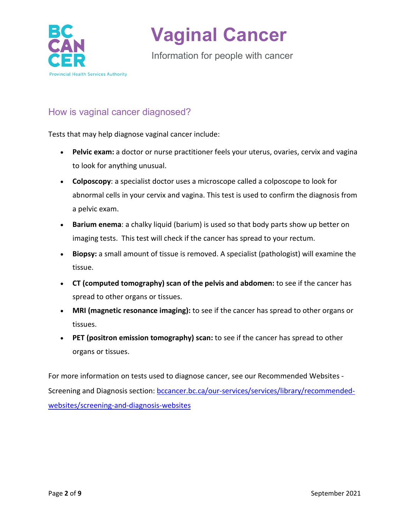

Information for people with cancer

## How is vaginal cancer diagnosed?

Tests that may help diagnose vaginal cancer include:

- **Pelvic exam:** a doctor or nurse practitioner feels your uterus, ovaries, cervix and vagina to look for anything unusual.
- **Colposcopy**: a specialist doctor uses a microscope called a colposcope to look for abnormal cells in your cervix and vagina. This test is used to confirm the diagnosis from a pelvic exam.
- **Barium enema**: a chalky liquid (barium) is used so that body parts show up better on imaging tests. This test will check if the cancer has spread to your rectum.
- **Biopsy:** a small amount of tissue is removed. A specialist (pathologist) will examine the tissue.
- **CT (computed tomography) scan of the pelvis and abdomen:** to see if the cancer has spread to other organs or tissues.
- **MRI (magnetic resonance imaging):** to see if the cancer has spread to other organs or tissues.
- **PET (positron emission tomography) scan:** to see if the cancer has spread to other organs or tissues.

For more information on tests used to diagnose cancer, see our Recommended Websites Screening and Diagnosis section: [bccancer.bc.ca/our-services/services/library/recommended](http://www.bccancer.bc.ca/our-services/services/library/recommended-websites/screening-and-diagnosis-websites)[websites/screening-and-diagnosis-websites](http://www.bccancer.bc.ca/our-services/services/library/recommended-websites/screening-and-diagnosis-websites)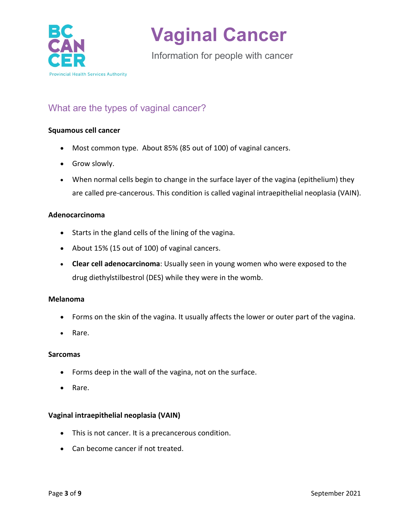

Information for people with cancer

## What are the types of vaginal cancer?

#### **Squamous cell cancer**

- Most common type. About 85% (85 out of 100) of vaginal cancers.
- Grow slowly.
- When normal cells begin to change in the surface layer of the vagina (epithelium) they are called pre-cancerous. This condition is called vaginal intraepithelial neoplasia (VAIN).

#### **Adenocarcinoma**

- Starts in the gland cells of the lining of the vagina.
- About 15% (15 out of 100) of vaginal cancers.
- **Clear cell adenocarcinoma**: Usually seen in young women who were exposed to the drug diethylstilbestrol (DES) while they were in the womb.

#### **Melanoma**

- Forms on the skin of the vagina. It usually affects the lower or outer part of the vagina.
- Rare.

#### **Sarcomas**

- Forms deep in the wall of the vagina, not on the surface.
- Rare.

#### **Vaginal intraepithelial neoplasia (VAIN)**

- This is not cancer. It is a precancerous condition.
- Can become cancer if not treated.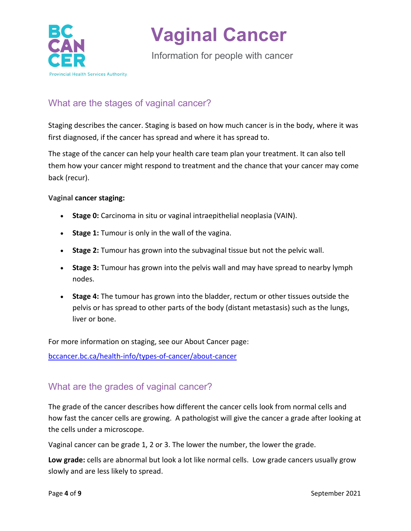

Information for people with cancer

## What are the stages of vaginal cancer?

Staging describes the cancer. Staging is based on how much cancer is in the body, where it was first diagnosed, if the cancer has spread and where it has spread to.

The stage of the cancer can help your health care team plan your treatment. It can also tell them how your cancer might respond to treatment and the chance that your cancer may come back (recur).

#### **Vaginal cancer staging:**

- **Stage 0:** Carcinoma in situ or vaginal intraepithelial neoplasia (VAIN).
- **Stage 1:** Tumour is only in the wall of the vagina.
- **Stage 2:** Tumour has grown into the subvaginal tissue but not the pelvic wall.
- **Stage 3:** Tumour has grown into the pelvis wall and may have spread to nearby lymph nodes.
- **Stage 4:** The tumour has grown into the bladder, rectum or other tissues outside the pelvis or has spread to other parts of the body (distant metastasis) such as the lungs, liver or bone.

For more information on staging, see our About Cancer page:

[bccancer.bc.ca/health-info/types-of-cancer/about-cancer](http://www.bccancer.bc.ca/health-info/types-of-cancer/about-cancer)

### What are the grades of vaginal cancer?

The grade of the cancer describes how different the cancer cells look from normal cells and how fast the cancer cells are growing. A pathologist will give the cancer a grade after looking at the cells under a microscope.

Vaginal cancer can be grade 1, 2 or 3. The lower the number, the lower the grade.

**Low grade:** cells are abnormal but look a lot like normal cells. Low grade cancers usually grow slowly and are less likely to spread.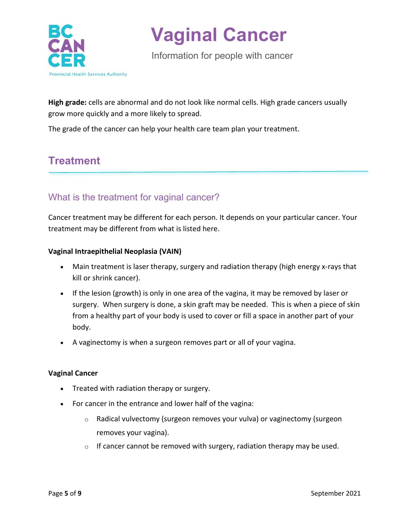

Information for people with cancer

**High grade:** cells are abnormal and do not look like normal cells. High grade cancers usually grow more quickly and a more likely to spread.

The grade of the cancer can help your health care team plan your treatment.

## **Treatment**

## What is the treatment for vaginal cancer?

Cancer treatment may be different for each person. It depends on your particular cancer. Your treatment may be different from what is listed here.

#### **Vaginal Intraepithelial Neoplasia (VAIN)**

- Main treatment is laser therapy, surgery and radiation therapy (high energy x-rays that kill or shrink cancer).
- If the lesion (growth) is only in one area of the vagina, it may be removed by laser or surgery. When surgery is done, a skin graft may be needed. This is when a piece of skin from a healthy part of your body is used to cover or fill a space in another part of your body.
- A vaginectomy is when a surgeon removes part or all of your vagina.

#### **Vaginal Cancer**

- Treated with radiation therapy or surgery.
- For cancer in the entrance and lower half of the vagina:
	- $\circ$  Radical vulvectomy (surgeon removes your vulva) or vaginectomy (surgeon removes your vagina).
	- $\circ$  If cancer cannot be removed with surgery, radiation therapy may be used.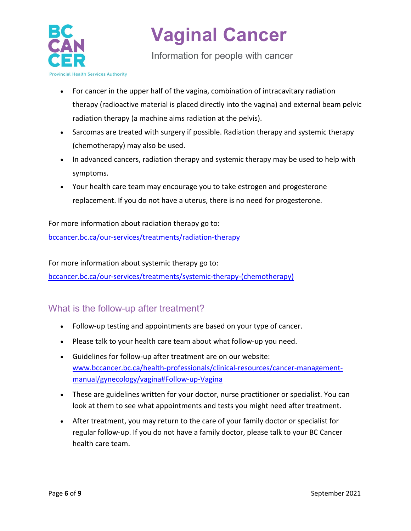

Information for people with cancer

- For cancer in the upper half of the vagina, combination of intracavitary radiation therapy (radioactive material is placed directly into the vagina) and external beam pelvic radiation therapy (a machine aims radiation at the pelvis).
- Sarcomas are treated with surgery if possible. Radiation therapy and systemic therapy (chemotherapy) may also be used.
- In advanced cancers, radiation therapy and systemic therapy may be used to help with symptoms.
- Your health care team may encourage you to take estrogen and progesterone replacement. If you do not have a uterus, there is no need for progesterone.

For more information about radiation therapy go to:

[bccancer.bc.ca/our-services/treatments/radiation-therapy](http://www.bccancer.bc.ca/our-services/treatments/radiation-therapy)

For more information about systemic therapy go to:

[bccancer.bc.ca/our-services/treatments/systemic-therapy-\(chemotherapy\)](http://www.bccancer.bc.ca/our-services/treatments/systemic-therapy-(chemotherapy))

## What is the follow-up after treatment?

- Follow-up testing and appointments are based on your type of cancer.
- Please talk to your health care team about what follow-up you need.
- Guidelines for follow-up after treatment are on our website: [www.bccancer.bc.ca/health-professionals/clinical-resources/cancer-management](http://www.bccancer.bc.ca/health-professionals/clinical-resources/cancer-management-manual/gynecology/vagina#Follow-up-Vagina)[manual/gynecology/vagina#Follow-up-Vagina](http://www.bccancer.bc.ca/health-professionals/clinical-resources/cancer-management-manual/gynecology/vagina#Follow-up-Vagina)
- These are guidelines written for your doctor, nurse practitioner or specialist. You can look at them to see what appointments and tests you might need after treatment.
- After treatment, you may return to the care of your family doctor or specialist for regular follow-up. If you do not have a family doctor, please talk to your BC Cancer health care team.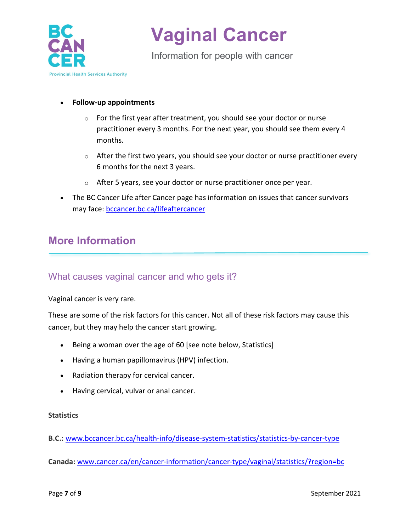

Information for people with cancer

#### • **Follow-up appointments**

- o For the first year after treatment, you should see your doctor or nurse practitioner every 3 months. For the next year, you should see them every 4 months.
- $\circ$  After the first two years, you should see your doctor or nurse practitioner every 6 months for the next 3 years.
- o After 5 years, see your doctor or nurse practitioner once per year.
- The BC Cancer Life after Cancer page has information on issues that cancer survivors may face: [bccancer.bc.ca/lifeaftercancer](http://www.bccancer.bc.ca/lifeaftercancer)

## **More Information**

### What causes vaginal cancer and who gets it?

Vaginal cancer is very rare.

These are some of the risk factors for this cancer. Not all of these risk factors may cause this cancer, but they may help the cancer start growing.

- Being a woman over the age of 60 [see note below, Statistics]
- Having a human papillomavirus (HPV) infection.
- Radiation therapy for cervical cancer.
- Having cervical, vulvar or anal cancer.

#### **Statistics**

**B.C.:** [www.bccancer.bc.ca/health-info/disease-system-statistics/statistics-by-cancer-type](http://www.bccancer.bc.ca/health-info/disease-system-statistics/statistics-by-cancer-type)

**Canada:** [www.cancer.ca/en/cancer-information/cancer-type/vaginal/statistics/?region=bc](https://www.cancer.ca/en/cancer-information/cancer-type/vaginal/statistics/?region=bc)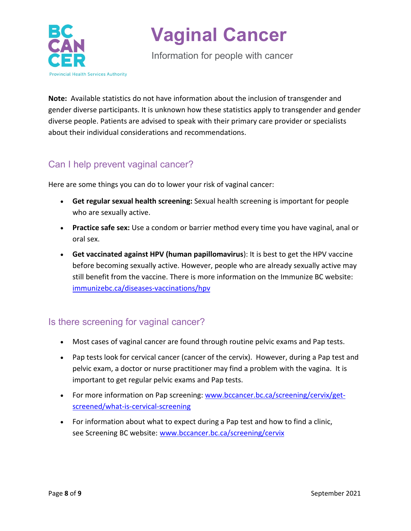

Information for people with cancer

**Note:** Available statistics do not have information about the inclusion of transgender and gender diverse participants. It is unknown how these statistics apply to transgender and gender diverse people. Patients are advised to speak with their primary care provider or specialists about their individual considerations and recommendations.

## Can I help prevent vaginal cancer?

Here are some things you can do to lower your risk of vaginal cancer:

- **Get regular sexual health screening:** Sexual health screening is important for people who are sexually active.
- **Practice safe sex:** Use a condom or barrier method every time you have vaginal, anal or oral sex.
- **Get vaccinated against HPV (human papillomavirus**): It is best to get the HPV vaccine before becoming sexually active. However, people who are already sexually active may still benefit from the vaccine. There is more information on the Immunize BC website: [immunizebc.ca/diseases-vaccinations/hpv](http://immunizebc.ca/diseases-vaccinations/hpv)

## Is there screening for vaginal cancer?

- Most cases of vaginal cancer are found through routine pelvic exams and Pap tests.
- Pap tests look for cervical cancer (cancer of the cervix). However, during a Pap test and pelvic exam, a doctor or nurse practitioner may find a problem with the vagina. It is important to get regular pelvic exams and Pap tests.
- For more information on Pap screening: [www.bccancer.bc.ca/screening/cervix/get](http://www.bccancer.bc.ca/screening/cervix/get-screened/what-is-cervical-screening)[screened/what-is-cervical-screening](http://www.bccancer.bc.ca/screening/cervix/get-screened/what-is-cervical-screening)
- For information about what to expect during a Pap test and how to find a clinic, see [Screening BC](http://www.screeningbc.ca/cervix) website: [www.bccancer.bc.ca/screening/cervix](http://www.bccancer.bc.ca/screening/cervix)